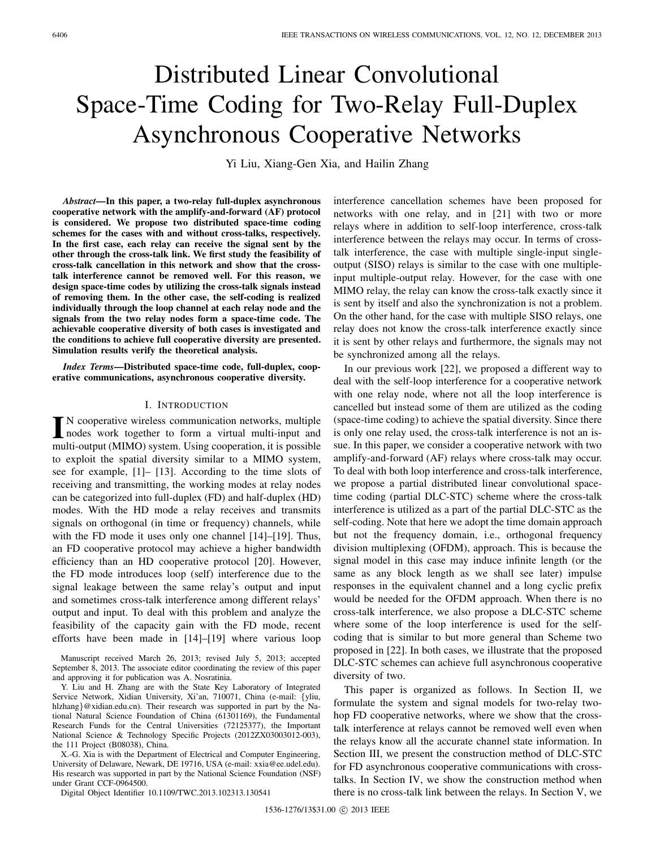# Distributed Linear Convolutional Space-Time Coding for Two-Relay Full-Duplex Asynchronous Cooperative Networks

Yi Liu, Xiang-Gen Xia, and Hailin Zhang

*Abstract***—In this paper, a two-relay full-duplex asynchronous cooperative network with the amplify-and-forward (AF) protocol is considered. We propose two distributed space-time coding schemes for the cases with and without cross-talks, respectively. In the first case, each relay can receive the signal sent by the other through the cross-talk link. We first study the feasibility of cross-talk cancellation in this network and show that the crosstalk interference cannot be removed well. For this reason, we design space-time codes by utilizing the cross-talk signals instead of removing them. In the other case, the self-coding is realized individually through the loop channel at each relay node and the signals from the two relay nodes form a space-time code. The achievable cooperative diversity of both cases is investigated and the conditions to achieve full cooperative diversity are presented. Simulation results verify the theoretical analysis.**

*Index Terms***—Distributed space-time code, full-duplex, cooperative communications, asynchronous cooperative diversity.**

# I. INTRODUCTION

I<sup>N</sup> cooperative wireless communication networks, multiple<br>nodes work together to form a virtual multi-input and<br>wurking the comparation it is noted N cooperative wireless communication networks, multiple multi-output (MIMO) system. Using cooperation, it is possible to exploit the spatial diversity similar to a MIMO system, see for example, [1]– [13]. According to the time slots of receiving and transmitting, the working modes at relay nodes can be categorized into full-duplex (FD) and half-duplex (HD) modes. With the HD mode a relay receives and transmits signals on orthogonal (in time or frequency) channels, while with the FD mode it uses only one channel [14]–[19]. Thus, an FD cooperative protocol may achieve a higher bandwidth efficiency than an HD cooperative protocol [20]. However, the FD mode introduces loop (self) interference due to the signal leakage between the same relay's output and input and sometimes cross-talk interference among different relays' output and input. To deal with this problem and analyze the feasibility of the capacity gain with the FD mode, recent efforts have been made in [14]–[19] where various loop

Manuscript received March 26, 2013; revised July 5, 2013; accepted September 8, 2013. The associate editor coordinating the review of this paper and approving it for publication was A. Nosratinia.

Y. Liu and H. Zhang are with the State Key Laboratory of Integrated Service Network, Xidian University, Xi'an, 710071, China (e-mail: {yliu, hlzhang}@xidian.edu.cn). Their research was supported in part by the National Natural Science Foundation of China (61301169), the Fundamental Research Funds for the Central Universities (72125377), the Important National Science & Technology Specific Projects (2012ZX03003012-003), the 111 Project (B08038), China.

X.-G. Xia is with the Department of Electrical and Computer Engineering, University of Delaware, Newark, DE 19716, USA (e-mail: xxia@ee.udel.edu). His research was supported in part by the National Science Foundation (NSF) under Grant CCF-0964500.

Digital Object Identifier 10.1109/TWC.2013.102313.130541

interference cancellation schemes have been proposed for networks with one relay, and in [21] with two or more relays where in addition to self-loop interference, cross-talk interference between the relays may occur. In terms of crosstalk interference, the case with multiple single-input singleoutput (SISO) relays is similar to the case with one multipleinput multiple-output relay. However, for the case with one MIMO relay, the relay can know the cross-talk exactly since it is sent by itself and also the synchronization is not a problem. On the other hand, for the case with multiple SISO relays, one relay does not know the cross-talk interference exactly since it is sent by other relays and furthermore, the signals may not be synchronized among all the relays.

In our previous work [22], we proposed a different way to deal with the self-loop interference for a cooperative network with one relay node, where not all the loop interference is cancelled but instead some of them are utilized as the coding (space-time coding) to achieve the spatial diversity. Since there is only one relay used, the cross-talk interference is not an issue. In this paper, we consider a cooperative network with two amplify-and-forward (AF) relays where cross-talk may occur. To deal with both loop interference and cross-talk interference, we propose a partial distributed linear convolutional spacetime coding (partial DLC-STC) scheme where the cross-talk interference is utilized as a part of the partial DLC-STC as the self-coding. Note that here we adopt the time domain approach but not the frequency domain, i.e., orthogonal frequency division multiplexing (OFDM), approach. This is because the signal model in this case may induce infinite length (or the same as any block length as we shall see later) impulse responses in the equivalent channel and a long cyclic prefix would be needed for the OFDM approach. When there is no cross-talk interference, we also propose a DLC-STC scheme where some of the loop interference is used for the selfcoding that is similar to but more general than Scheme two proposed in [22]. In both cases, we illustrate that the proposed DLC-STC schemes can achieve full asynchronous cooperative diversity of two.

This paper is organized as follows. In Section II, we formulate the system and signal models for two-relay twohop FD cooperative networks, where we show that the crosstalk interference at relays cannot be removed well even when the relays know all the accurate channel state information. In Section III, we present the construction method of DLC-STC for FD asynchronous cooperative communications with crosstalks. In Section IV, we show the construction method when there is no cross-talk link between the relays. In Section V, we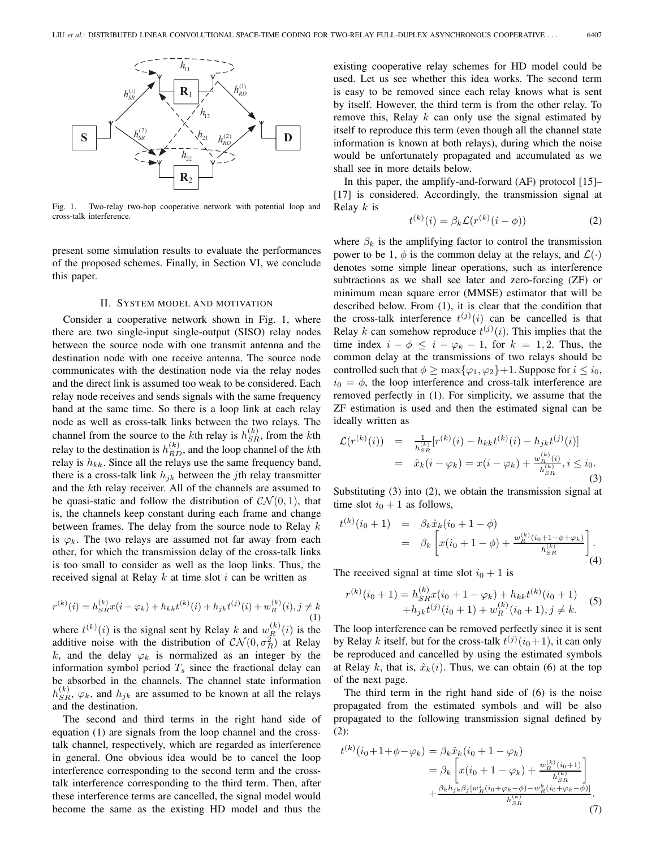

Fig. 1. Two-relay two-hop cooperative network with potential loop and cross-talk interference.

present some simulation results to evaluate the performances of the proposed schemes. Finally, in Section VI, we conclude this paper.

#### II. SYSTEM MODEL AND MOTIVATION

Consider a cooperative network shown in Fig. 1, where there are two single-input single-output (SISO) relay nodes between the source node with one transmit antenna and the destination node with one receive antenna. The source node communicates with the destination node via the relay nodes and the direct link is assumed too weak to be considered. Each relay node receives and sends signals with the same frequency band at the same time. So there is a loop link at each relay node as well as cross-talk links between the two relays. The channel from the source to the kth relay is  $h_{SRR}^{(k)}$ , from the kth relay to the destination is  $h^{(k)}$  and the leap channel of the lith relay to the destination is  $h_{RD}^{(k)}$ , and the loop channel of the kth relay is  $h_{LL}$ . Since all the relays use the same frequency hand relay is  $h_{kk}$ . Since all the relays use the same frequency band, there is a cross-talk link  $h_{jk}$  between the jth relay transmitter and the kth relay receiver. All of the channels are assumed to be quasi-static and follow the distribution of  $\mathcal{CN}(0, 1)$ , that is, the channels keep constant during each frame and change between frames. The delay from the source node to Relay  $k$ is  $\varphi_k$ . The two relays are assumed not far away from each other, for which the transmission delay of the cross-talk links is too small to consider as well as the loop links. Thus, the received signal at Relay  $k$  at time slot  $i$  can be written as

$$
r^{(k)}(i) = h_{SR}^{(k)}x(i - \varphi_k) + h_{kk}t^{(k)}(i) + h_{jk}t^{(j)}(i) + w_R^{(k)}(i), j \neq k
$$
\n(1)

where  $t^{(k)}(i)$  is the signal sent by Relay k and  $w_R^{(k)}(i)$  is the additive noise, with the distribution of  $CN(0, \sigma^2)$  at Relay additive noise with the distribution of  $CN(0, \sigma_R^2)$  at Relay<br>k, and the delay  $\omega$  is normalized as an integer by the k, and the delay  $\varphi_k$  is normalized as an integer by the information symbol period  $T_s$  since the fractional delay can be absorbed in the channels. The channel state information  $h_{SR}^{(k)}$ ,  $\varphi_k$ , and  $h_{jk}$  are assumed to be known at all the relays and the destination and the destination.

The second and third terms in the right hand side of equation (1) are signals from the loop channel and the crosstalk channel, respectively, which are regarded as interference in general. One obvious idea would be to cancel the loop interference corresponding to the second term and the crosstalk interference corresponding to the third term. Then, after these interference terms are cancelled, the signal model would become the same as the existing HD model and thus the

existing cooperative relay schemes for HD model could be used. Let us see whether this idea works. The second term is easy to be removed since each relay knows what is sent by itself. However, the third term is from the other relay. To remove this, Relay  $k$  can only use the signal estimated by itself to reproduce this term (even though all the channel state information is known at both relays), during which the noise would be unfortunately propagated and accumulated as we shall see in more details below.

In this paper, the amplify-and-forward (AF) protocol [15]– [17] is considered. Accordingly, the transmission signal at Relay  $k$  is

$$
t^{(k)}(i) = \beta_k \mathcal{L}(r^{(k)}(i - \phi))
$$
 (2)

where  $\beta_k$  is the amplifying factor to control the transmission power to be 1,  $\phi$  is the common delay at the relays, and  $\mathcal{L}(\cdot)$ denotes some simple linear operations, such as interference subtractions as we shall see later and zero-forcing (ZF) or minimum mean square error (MMSE) estimator that will be described below. From (1), it is clear that the condition that the cross-talk interference  $t^{(j)}(i)$  can be cancelled is that  $R$ elay k can somehow reproduce  $t^{(j)}(i)$ . This implies that the Relay k can somehow reproduce  $t^{(j)}(i)$ . This implies that the time index  $i - \phi \le i - \omega - 1$  for  $k - 1$  ? Thus the time index  $i - \phi \leq i - \varphi_k - 1$ , for  $k = 1, 2$ . Thus, the common delay at the transmissions of two relays should be controlled such that  $\phi \ge \max{\{\varphi_1, \varphi_2\}} + 1$ . Suppose for  $i \le i_0$ ,  $i_0 = \phi$ , the loop interference and cross-talk interference are removed perfectly in (1). For simplicity, we assume that the ZF estimation is used and then the estimated signal can be ideally written as

$$
\mathcal{L}(r^{(k)}(i)) = \frac{1}{h_{SR}^{(k)}} [r^{(k)}(i) - h_{kk} t^{(k)}(i) - h_{jk} t^{(j)}(i)]
$$
  
=  $\hat{x}_k (i - \varphi_k) = x(i - \varphi_k) + \frac{w_R^{(k)}(i)}{h_{SR}^{(k)}}, i \le i_0.$  (3)

Substituting (3) into (2), we obtain the transmission signal at time slot  $i_0 + 1$  as follows,

$$
t^{(k)}(i_0 + 1) = \beta_k \hat{x}_k (i_0 + 1 - \phi)
$$
  
=  $\beta_k \left[ x(i_0 + 1 - \phi) + \frac{w_R^{(k)}(i_0 + 1 - \phi + \varphi_k)}{h_{SR}^{(k)}} \right].$  (4)

The received signal at time slot  $i_0 + 1$  is

$$
r^{(k)}(i_0+1) = h_{SR}^{(k)}x(i_0+1-\varphi_k) + h_{kk}t^{(k)}(i_0+1)
$$
  
+
$$
h_{jk}t^{(j)}(i_0+1) + w_R^{(k)}(i_0+1), j \neq k.
$$
 (5)

The loop interference can be removed perfectly since it is sent by Relay k itself, but for the cross-talk  $t^{(j)}(i_0+1)$ , it can only be reproduced and cancelled by using the estimated symbols be reproduced and cancelled by using the estimated symbols at Relay k, that is,  $\hat{x}_k(i)$ . Thus, we can obtain (6) at the top of the next page.

The third term in the right hand side of (6) is the noise propagated from the estimated symbols and will be also propagated to the following transmission signal defined by (2):

$$
t^{(k)}(i_0 + 1 + \phi - \varphi_k) = \beta_k \hat{x}_k (i_0 + 1 - \varphi_k)
$$
  
=  $\beta_k \left[ x(i_0 + 1 - \varphi_k) + \frac{w_R^{(k)}(i_0 + 1)}{h_{SR}^{(k)}} \right]$   
+  $\frac{\beta_k h_{jk} \beta_j [w_R^j (i_0 + \varphi_k - \phi) - w_R^k (i_0 + \varphi_k - \phi)]}{h_{SR}^{(k)}}.$  (7)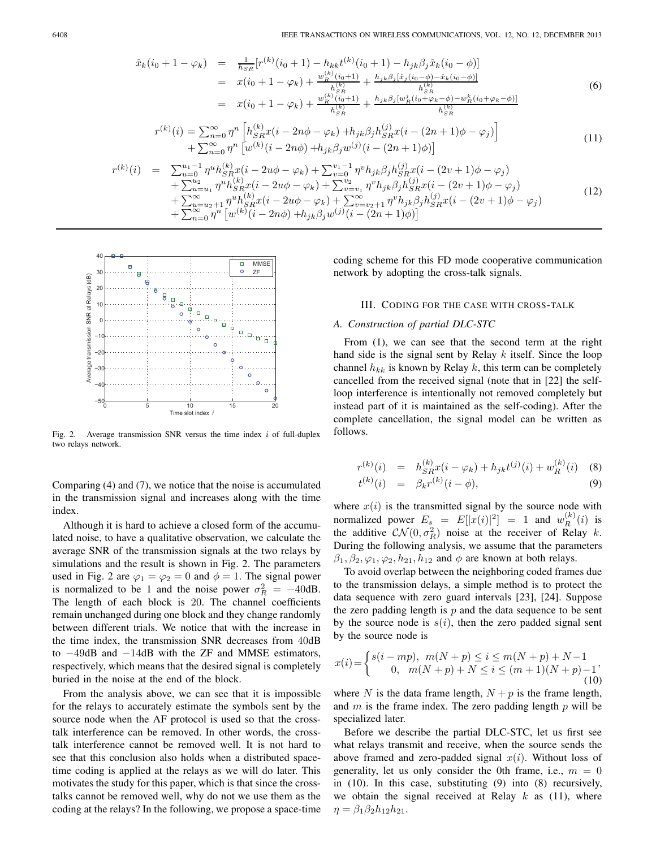$$
\hat{x}_{k}(i_{0} + 1 - \varphi_{k}) = \frac{1}{h_{SR}} [r^{(k)}(i_{0} + 1) - h_{kk}t^{(k)}(i_{0} + 1) - h_{jk}\beta_{j}\hat{x}_{k}(i_{0} - \phi)] \n= x(i_{0} + 1 - \varphi_{k}) + \frac{w_{R}^{(k)}(i_{0} + 1)}{h_{SR}^{(k)}} + \frac{h_{jk}\beta_{j}[\hat{x}_{j}(i_{0} - \phi) - \hat{x}_{k}(i_{0} - \phi)]}{h_{SR}^{(k)}} \n= x(i_{0} + 1 - \varphi_{k}) + \frac{w_{R}^{(k)}(i_{0} + 1)}{h_{SR}^{(k)}} + \frac{h_{jk}\beta_{j}[w_{R}^{j}(i_{0} + \varphi_{k} - \phi) - w_{R}^{k}(i_{0} + \varphi_{k} - \phi)]}{h_{SR}^{(k)}}
$$
\n(6)

$$
r^{(k)}(i) = \sum_{n=0}^{\infty} \eta^n \left[ h_{SR}^{(k)} x(i - 2n\phi - \varphi_k) + h_{jk} \beta_j h_{SR}^{(j)} x(i - (2n+1)\phi - \varphi_j) \right] + \sum_{n=0}^{\infty} \eta^n \left[ w^{(k)} (i - 2n\phi) + h_{jk} \beta_j w^{(j)} (i - (2n+1)\phi) \right]
$$
(11)

$$
r^{(k)}(i) = \sum_{u=0}^{u_1-1} \eta^u h_{SR}^{(k)} x(i - 2u\phi - \varphi_k) + \sum_{v=0}^{v_1-1} \eta^v h_{jk} \beta_j h_{SR}^{(j)} x(i - (2v+1)\phi - \varphi_j) + \sum_{u=u_1}^{u_2} \eta^u h_{SR}^{(k)} x(i - 2u\phi - \varphi_k) + \sum_{v=v_1}^{v_2} \eta^v h_{jk} \beta_j h_{SR}^{(j)} x(i - (2v+1)\phi - \varphi_j) + \sum_{u=u_2+1}^{\infty} \eta^u h_{SR}^{(k)} x(i - 2u\phi - \varphi_k) + \sum_{v=v_2+1}^{\infty} \eta^v h_{jk} \beta_j h_{SR}^{(j)} x(i - (2v+1)\phi - \varphi_j) + \sum_{n=0}^{\infty} \eta^n \left[ w^{(k)}(i - 2n\phi) + h_{jk} \beta_j w^{(j)}(i - (2n+1)\phi) \right]
$$
\n(12)



Fig. 2. Average transmission SNR versus the time index *i* of full-duplex two relays network.

Comparing (4) and (7), we notice that the noise is accumulated in the transmission signal and increases along with the time index.

Although it is hard to achieve a closed form of the accumulated noise, to have a qualitative observation, we calculate the average SNR of the transmission signals at the two relays by simulations and the result is shown in Fig. 2. The parameters used in Fig. 2 are  $\varphi_1 = \varphi_2 = 0$  and  $\phi = 1$ . The signal power is normalized to be 1 and the noise power  $\sigma_R^2 = -40$ dB.<br>The length of each block is 20. The channel coefficients The length of each block is 20. The channel coefficients remain unchanged during one block and they change randomly between different trials. We notice that with the increase in the time index, the transmission SNR decreases from 40dB to −49dB and −14dB with the ZF and MMSE estimators, respectively, which means that the desired signal is completely buried in the noise at the end of the block.

From the analysis above, we can see that it is impossible for the relays to accurately estimate the symbols sent by the source node when the AF protocol is used so that the crosstalk interference can be removed. In other words, the crosstalk interference cannot be removed well. It is not hard to see that this conclusion also holds when a distributed spacetime coding is applied at the relays as we will do later. This motivates the study for this paper, which is that since the crosstalks cannot be removed well, why do not we use them as the coding at the relays? In the following, we propose a space-time coding scheme for this FD mode cooperative communication network by adopting the cross-talk signals.

# III. CODING FOR THE CASE WITH CROSS-TALK

# *A. Construction of partial DLC-STC*

From (1), we can see that the second term at the right hand side is the signal sent by Relay  $k$  itself. Since the loop channel  $h_{kk}$  is known by Relay k, this term can be completely cancelled from the received signal (note that in [22] the selfloop interference is intentionally not removed completely but instead part of it is maintained as the self-coding). After the complete cancellation, the signal model can be written as follows.

$$
r^{(k)}(i) = h_{SR}^{(k)}x(i - \varphi_k) + h_{jk}t^{(j)}(i) + w_R^{(k)}(i)
$$
 (8)  

$$
t^{(k)}(i) = \beta_{k}r^{(k)}(i - \phi)
$$
 (9)

$$
^{(k)}(i) = \beta_k r^{(k)}(i - \phi), \tag{9}
$$

where  $x(i)$  is the transmitted signal by the source node with normalized power  $E_s = E[|x(i)|^2] = 1$  and  $w_R^{(k)}(i)$  is<br>the additive  $CN(0, \sigma^2)$  poise at the receiver of Relay k the additive  $CN(0, \sigma_R^2)$  noise at the receiver of Relay k.<br>During the following analysis, we assume that the parameters During the following analysis, we assume that the parameters  $\beta_1, \beta_2, \varphi_1, \varphi_2, h_{21}, h_{12}$  and  $\phi$  are known at both relays.

To avoid overlap between the neighboring coded frames due to the transmission delays, a simple method is to protect the data sequence with zero guard intervals [23], [24]. Suppose the zero padding length is  $p$  and the data sequence to be sent by the source node is  $s(i)$ , then the zero padded signal sent by the source node is

$$
x(i) = \begin{cases} s(i - mp), & m(N + p) \le i \le m(N + p) + N - 1 \\ 0, & m(N + p) + N \le i \le (m + 1)(N + p) - 1' \\ (10) \end{cases}
$$

where N is the data frame length,  $N + p$  is the frame length, and  $m$  is the frame index. The zero padding length  $p$  will be specialized later.

Before we describe the partial DLC-STC, let us first see what relays transmit and receive, when the source sends the above framed and zero-padded signal  $x(i)$ . Without loss of generality, let us only consider the 0th frame, i.e.,  $m = 0$ in (10). In this case, substituting (9) into (8) recursively, we obtain the signal received at Relay  $k$  as (11), where  $\eta = \beta_1 \beta_2 h_{12} h_{21}.$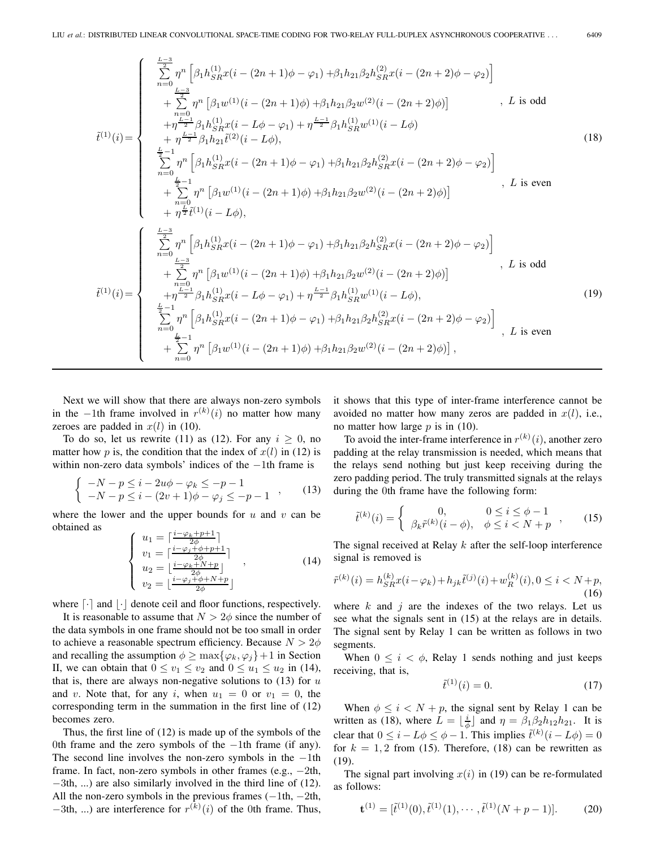$$
\tilde{t}^{(1)}(i) = \begin{cases}\n\sum_{n=0}^{L-3} \eta^{n} \left[ \beta_{1}h_{SR}^{(1)}x(i - (2n+1)\phi - \varphi_{1}) + \beta_{1}h_{21}\beta_{2}h_{SR}^{(2)}x(i - (2n+2)\phi - \varphi_{2}) \right] \\
+ \sum_{n=0}^{L-3} \eta^{n} \left[ \beta_{1}w^{(1)}(i - (2n+1)\phi) + \beta_{1}h_{21}\beta_{2}w^{(2)}(i - (2n+2)\phi) \right] & , L \text{ is odd} \\
+ \eta^{L-1} \beta_{1}h_{SR}^{(1)}x(i - L\phi - \varphi_{1}) + \eta^{L-1} \beta_{1}h_{SR}^{(1)}w^{(1)}(i - L\phi) & \\
+ \eta^{L-1} \beta_{1}h_{21}\tilde{t}^{(2)}(i - L\phi), & \\
\sum_{n=0}^{L-1} \eta^{n} \left[ \beta_{1}h_{SR}^{(1)}x(i - (2n+1)\phi - \varphi_{1}) + \beta_{1}h_{21}\beta_{2}h_{SR}^{(2)}x(i - (2n+2)\phi - \varphi_{2}) \right] & \\
+ \sum_{n=0}^{L-1} \eta^{n} \left[ \beta_{1}w^{(1)}(i - (2n+1)\phi) + \beta_{1}h_{21}\beta_{2}w^{(2)}(i - (2n+2)\phi) \right] & , L \text{ is even} \\
+ \eta^{L-1} \tilde{t}^{(1)}(i - L\phi), & \\
\sum_{n=0}^{L-3} \eta^{n} \left[ \beta_{1}h_{SR}^{(1)}x(i - (2n+1)\phi - \varphi_{1}) + \beta_{1}h_{21}\beta_{2}w^{(2)}(i - (2n+2)\phi - \varphi_{2}) \right] & \\
+ \sum_{n=0}^{L-3} \eta^{n} \left[ \beta_{1}h_{SR}^{(1)}x(i - (2n+1)\phi) + \beta_{1}h_{21}\beta_{2}w^{(2)}(i - (2n+2)\phi - \varphi_{2}) \right] & \\
\sum_{n=0}^{L-3} \frac{1}{L^{2}} \eta^{n} \left[ \beta_{1}h_{SR}^{(1)}x(i - (2n+1)\phi) + \beta_{1}h_{21}\beta_{2}
$$

Next we will show that there are always non-zero symbols in the −1th frame involved in  $r^{(k)}(i)$  no matter how many zeroes are padded in  $x(l)$  in (10).

To do so, let us rewrite (11) as (12). For any  $i \geq 0$ , no matter how p is, the condition that the index of  $x(l)$  in (12) is within non-zero data symbols' indices of the −1th frame is

$$
\begin{cases}\n-N - p \leq i - 2u\phi - \varphi_k \leq -p - 1 \\
-N - p \leq i - (2v + 1)\phi - \varphi_j \leq -p - 1\n\end{cases}
$$
\n(13)

where the lower and the upper bounds for  $u$  and  $v$  can be obtained as

$$
\begin{cases}\nu_1 = \left[\frac{i-\varphi_k+p+1}{2\phi}\right] \\
v_1 = \left[\frac{i-\varphi_j+\phi+p+1}{2\phi}\right] \\
u_2 = \left[\frac{i-\varphi_k+N+p}{2\phi}\right] \\
v_2 = \left[\frac{i-\varphi_j+\phi+N+p}{2\phi}\right]\n\end{cases} (14)
$$

where  $\lceil \cdot \rceil$  and  $\lceil \cdot \rceil$  denote ceil and floor functions, respectively.

It is reasonable to assume that  $N > 2\phi$  since the number of the data symbols in one frame should not be too small in order to achieve a reasonable spectrum efficiency. Because  $N > 2\phi$ and recalling the assumption  $\phi \ge \max{\{\varphi_k, \varphi_j\}} + 1$  in Section II, we can obtain that  $0 \le v_1 \le v_2$  and  $0 \le u_1 \le u_2$  in (14), that is, there are always non-negative solutions to  $(13)$  for u and v. Note that, for any i, when  $u_1 = 0$  or  $v_1 = 0$ , the corresponding term in the summation in the first line of (12) becomes zero.

Thus, the first line of (12) is made up of the symbols of the 0th frame and the zero symbols of the −1th frame (if any). The second line involves the non-zero symbols in the −1th frame. In fact, non-zero symbols in other frames (e.g.,  $-2th$ , −3th, ...) are also similarly involved in the third line of (12). All the non-zero symbols in the previous frames  $(-1th, -2th,$  $-3$ th, ...) are interference for  $r^{(k)}(i)$  of the 0th frame. Thus,

it shows that this type of inter-frame interference cannot be avoided no matter how many zeros are padded in  $x(l)$ , i.e., no matter how large  $p$  is in (10).

To avoid the inter-frame interference in  $r^{(k)}(i)$ , another zero padding at the relay transmission is needed, which means that the relays send nothing but just keep receiving during the zero padding period. The truly transmitted signals at the relays during the 0th frame have the following form:

$$
\tilde{t}^{(k)}(i) = \begin{cases} 0, & 0 \le i \le \phi - 1 \\ \beta_k \tilde{r}^{(k)}(i - \phi), & \phi \le i < N + p \end{cases}, \quad (15)
$$

The signal received at Relay k after the self-loop interference signal is removed is

$$
\tilde{r}^{(k)}(i) = h_{SR}^{(k)}x(i - \varphi_k) + h_{jk}\tilde{t}^{(j)}(i) + w_R^{(k)}(i), 0 \le i < N + p,\tag{16}
$$

where  $k$  and  $j$  are the indexes of the two relays. Let us see what the signals sent in (15) at the relays are in details. The signal sent by Relay 1 can be written as follows in two segments.

When  $0 \leq i \leq \phi$ , Relay 1 sends nothing and just keeps receiving, that is,

$$
\tilde{t}^{(1)}(i) = 0.\t(17)
$$

When  $\phi \leq i < N + p$ , the signal sent by Relay 1 can be written as (18), where  $L = \lfloor \frac{i}{\phi} \rfloor$  and  $\eta = \beta_1 \beta_2 h_1 2 h_2 1$ . It is clear that  $0 \le i - L\phi \le \phi - 1$ . This implies  $\tilde{t}^{(k)}(i - L\phi) = 0$ <br>for  $k = 1, 2$  from (15). Therefore, (18) can be rewritten as for  $k = 1, 2$  from (15). Therefore, (18) can be rewritten as (19).

The signal part involving  $x(i)$  in (19) can be re-formulated as follows:

$$
\mathbf{t}^{(1)} = [\tilde{t}^{(1)}(0), \tilde{t}^{(1)}(1), \cdots, \tilde{t}^{(1)}(N+p-1)].
$$
 (20)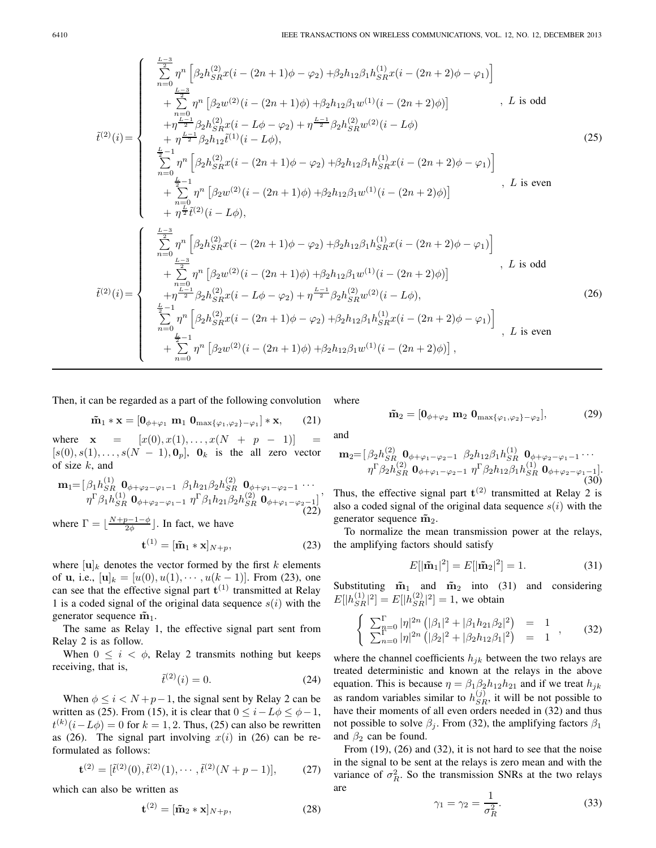$$
\tilde{t}^{(2)}(i) = \begin{cases}\n\sum_{n=0}^{L-3} \eta^n \left[ \beta_2 h_{SR}^{(2)} x(i - (2n+1)\phi - \varphi_2) + \beta_2 h_{12} \beta_1 h_{SR}^{(1)} x(i - (2n+2)\phi - \varphi_1) \right] \\
+ \sum_{n=0}^{L-3} \eta^n \left[ \beta_2 w^{(2)} (i - (2n+1)\phi) + \beta_2 h_{12} \beta_1 w^{(1)} (i - (2n+2)\phi) \right] & , L \text{ is odd} \\
+ \eta \frac{L-1}{2} \beta_2 h_{SR}^{(2)} x(i - L\phi - \varphi_2) + \eta \frac{L-1}{2} \beta_2 h_{SR}^{(2)} w^{(2)} (i - L\phi) \\
+ \eta \frac{L-1}{2} \beta_2 h_{12} \tilde{t}^{(1)} (i - L\phi), & (25) \\
\sum_{n=0}^{L-1} \eta^n \left[ \beta_2 h_{SR}^{(2)} x(i - (2n+1)\phi - \varphi_2) + \beta_2 h_{12} \beta_1 h_{SR}^{(1)} x(i - (2n+2)\phi - \varphi_1) \right] \\
+ \sum_{n=0}^{L-1} \eta^n \left[ \beta_2 w^{(2)} (i - (2n+1)\phi) + \beta_2 h_{12} \beta_1 w^{(1)} (i - (2n+2)\phi) \right] & , L \text{ is even} \\
+ \eta \frac{L}{2} \tilde{t}^{(2)} (i - L\phi), & \sum_{n=0}^{L-3} \sum_{\substack{l=3 \\\text{$n=0$} \text{ $L$ is odd}}} \tilde{t}^{(2)} (i - L\phi), & \sum_{\substack{l=3 \\\text{$n=0$} \text{ $L$ is odd}}} \tilde{t}^{(2)} (i - (2n+1)\phi - \varphi_2) + \beta_2 h_{12} \beta_1 h_{SR}^{(1)} x(i - (2n+2)\phi - \varphi_1) \right] \\
+ \sum_{\substack{l=0 \\\text{$n=0$} \text{ $L$ is odd}}} \tilde{t}^{(2)}(i) = \begin{cases} \frac{L-3}{2} & \text{ $m$} \text{ $L$ is odd} \\
\frac{L-3}{2} & \text{ $m$} \text{ $L
$$

Then, it can be regarded as a part of the following convolution

$$
\tilde{\mathbf{m}}_1 * \mathbf{x} = [\mathbf{0}_{\phi + \varphi_1} \mathbf{m}_1 \mathbf{0}_{\max{\{\varphi_1, \varphi_2\} - \varphi_1\}} * \mathbf{x}, \qquad (21)
$$

where  $x = [x(0), x(1), \ldots, x(N + p - 1)] =$  $[s(0), s(1), \ldots, s(N-1), \mathbf{0}_p], \mathbf{0}_k$  is the all zero vector of size  $k$ , and

$$
\mathbf{m}_{1} = [\beta_{1} h_{SR}^{(1)} \mathbf{0}_{\phi+\varphi_{2}-\varphi_{1}-1} \ \beta_{1} h_{21} \beta_{2} h_{SR}^{(2)} \mathbf{0}_{\phi+\varphi_{1}-\varphi_{2}-1} \cdots \eta^{\Gamma} \beta_{1} h_{SR}^{(1)} \mathbf{0}_{\phi+\varphi_{2}-\varphi_{1}-1} \ \eta^{\Gamma} \beta_{1} h_{21} \beta_{2} h_{SR}^{(2)} \mathbf{0}_{\phi+\varphi_{1}-\varphi_{2}-1}]'
$$
\n(22)

where  $\Gamma = \lfloor \frac{N+p-1-\phi}{2\phi} \rfloor$ . In fact, we have

$$
\mathbf{t}^{(1)} = [\tilde{\mathbf{m}}_1 * \mathbf{x}]_{N+p},\tag{23}
$$

where  $[\mathbf{u}]_k$  denotes the vector formed by the first k elements of **u**, i.e.,  $[\mathbf{u}]_k = [u(0), u(1), \dots, u(k-1)]$ . From (23), one of **u**, i.e.,  $[\mathbf{u}]_k = [u(0), u(1), \dots, u(k-1)]$ . From (23), one can see that the effective signal part  $\mathbf{t}^{(1)}$  transmitted at Relay 1 is a coded signal of the original data sequence  $s(i)$  with the generator sequence  $\tilde{\mathbf{m}}_1$ .

The same as Relay 1, the effective signal part sent from Relay 2 is as follow.

When  $0 \leq i \leq \phi$ , Relay 2 transmits nothing but keeps receiving, that is,

$$
\tilde{t}^{(2)}(i) = 0.
$$
 (24)

When  $\phi \leq i < N+p-1$ , the signal sent by Relay 2 can be written as (25). From (15), it is clear that  $0 \leq i - L\phi \leq \phi - 1$ ,  $t^{(k)}(i-L\phi)=0$  for  $k = 1, 2$ . Thus, (25) can also be rewritten as (26). The signal part involving  $x(i)$  in (26) can be reformulated as follows:

$$
\mathbf{t}^{(2)} = [\tilde{t}^{(2)}(0), \tilde{t}^{(2)}(1), \cdots, \tilde{t}^{(2)}(N+p-1)],\tag{27}
$$

which can also be written as

$$
\mathbf{t}^{(2)} = [\tilde{\mathbf{m}}_2 * \mathbf{x}]_{N+p},\tag{28}
$$

where

$$
\tilde{\mathbf{m}}_2 = [\mathbf{0}_{\phi + \varphi_2} \; \mathbf{m}_2 \; \mathbf{0}_{\max\{\varphi_1, \varphi_2\} - \varphi_2}],\tag{29}
$$

and

$$
\mathbf{m}_{2} = [\beta_{2}h_{SR}^{(2)} \mathbf{0}_{\phi+\varphi_{1}-\varphi_{2}-1} \ \beta_{2}h_{12}\beta_{1}h_{SR}^{(1)} \mathbf{0}_{\phi+\varphi_{2}-\varphi_{1}-1} \cdots \eta^{\Gamma}\beta_{2}h_{SR}^{(2)} \mathbf{0}_{\phi+\varphi_{1}-\varphi_{2}-1} \ \eta^{\Gamma}\beta_{2}h_{12}\beta_{1}h_{SR}^{(1)} \mathbf{0}_{\phi+\varphi_{2}-\varphi_{1}-1}].
$$
\n(30)

Thus, the effective signal part  $t^{(2)}$  transmitted at Relay 2 is also a coded signal of the original data sequence  $s(i)$  with the generator sequence  $\tilde{m}_2$ .

To normalize the mean transmission power at the relays, the amplifying factors should satisfy

$$
E[|\tilde{\mathbf{m}}_1|^2] = E[|\tilde{\mathbf{m}}_2|^2] = 1.
$$
 (31)

Substituting  $\tilde{m}_1$  and  $\tilde{m}_2$  into (31) and considering  $E[|h_{SR}^{(1)}|^2] = E[|h_{SR}^{(2)}|^2] = 1$ , we obtain

$$
\begin{cases}\n\sum_{n=0}^{\Gamma} |\eta|^{2n} \left( |\beta_1|^2 + |\beta_1 h_{21} \beta_2|^2 \right) = 1 \\
\sum_{n=0}^{\Gamma} |\eta|^{2n} \left( |\beta_2|^2 + |\beta_2 h_{12} \beta_1|^2 \right) = 1\n\end{cases},
$$
\n(32)

where the channel coefficients  $h_{jk}$  between the two relays are treated deterministic and known at the relays in the above equation. This is because  $\eta = \beta_1 \beta_2 h_{12} h_{21}$  and if we treat  $h_{jk}$ as random variables similar to  $h_{SR}^{(j)}$ , it will be not possible to have their moments of all even orders needed in (32) and thus have their moments of all even orders needed in (32) and thus not possible to solve  $\beta_j$ . From (32), the amplifying factors  $\beta_1$ and  $\beta_2$  can be found.

From (19), (26) and (32), it is not hard to see that the noise in the signal to be sent at the relays is zero mean and with the variance of  $\sigma_R^2$ . So the transmission SNRs at the two relays are

$$
\gamma_1 = \gamma_2 = \frac{1}{\sigma_R^2}.\tag{33}
$$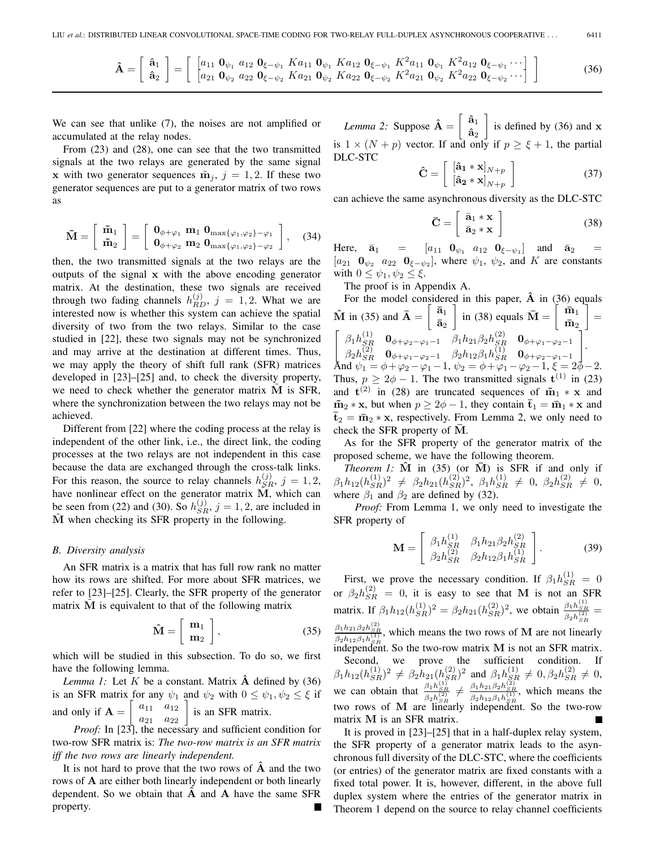$$
\hat{\mathbf{A}} = \begin{bmatrix} \hat{\mathbf{a}}_1 \\ \hat{\mathbf{a}}_2 \end{bmatrix} = \begin{bmatrix} \begin{bmatrix} a_{11} & \mathbf{0}_{\psi_1} & a_{12} & \mathbf{0}_{\xi - \psi_1} & K a_{11} & \mathbf{0}_{\psi_1} & K a_{12} & \mathbf{0}_{\xi - \psi_1} & K^2 a_{11} & \mathbf{0}_{\psi_1} & K^2 a_{12} & \mathbf{0}_{\xi - \psi_1} & \cdots \\ a_{21} & \mathbf{0}_{\psi_2} & a_{22} & \mathbf{0}_{\xi - \psi_2} & K a_{21} & \mathbf{0}_{\psi_2} & K a_{22} & \mathbf{0}_{\xi - \psi_2} & K^2 a_{21} & \mathbf{0}_{\psi_2} & K^2 a_{22} & \mathbf{0}_{\xi - \psi_2} & \cdots \end{bmatrix} \end{bmatrix}
$$
\n(36)

We can see that unlike  $(7)$ , the noises are not amplified or accumulated at the relay nodes.

From (23) and (28), one can see that the two transmitted signals at the two relays are generated by the same signal **x** with two generator sequences  $\tilde{\mathbf{m}}_j$ ,  $j = 1, 2$ . If these two generator sequences are put to a generator matrix of two rows as

$$
\tilde{\mathbf{M}} = \left[ \begin{array}{c} \tilde{\mathbf{m}}_1 \\ \tilde{\mathbf{m}}_2 \end{array} \right] = \left[ \begin{array}{c} \mathbf{0}_{\phi + \varphi_1} \mathbf{m}_1 & \mathbf{0}_{\max\{\varphi_1, \varphi_2\} - \varphi_1} \\ \mathbf{0}_{\phi + \varphi_2} & \mathbf{m}_2 & \mathbf{0}_{\max\{\varphi_1, \varphi_2\} - \varphi_2} \end{array} \right], \quad (34)
$$

then, the two transmitted signals at the two relays are the outputs of the signal **x** with the above encoding generator matrix. At the destination, these two signals are received through two fading channels  $h_{RD}^{(j)}$ ,  $j = 1, 2$ . What we are interested now is whether this system can achieve the spatial interested now is whether this system can achieve the spatial diversity of two from the two relays. Similar to the case studied in [22], these two signals may not be synchronized and may arrive at the destination at different times. Thus, we may apply the theory of shift full rank (SFR) matrices developed in [23]–[25] and, to check the diversity property, we need to check whether the generator matrix M is SFR, where the synchronization between the two relays may not be achieved.

Different from [22] where the coding process at the relay is independent of the other link, i.e., the direct link, the coding processes at the two relays are not independent in this case because the data are exchanged through the cross-talk links. For this reason, the source to relay channels  $h_{SR}^{(j)}$ ,  $j = 1, 2$ , have nonlinear effect on the generator matrix  $\mathbf{M}$  which can have nonlinear effect on the generator matrix  $\tilde{M}$ , which can be seen from (22) and (30). So  $h_{SR}^{(j)}$ ,  $j = 1, 2$ , are included in  $\tilde{M}$  when checking its SER property in the following **M**˜ when checking its SFR property in the following.

#### *B. Diversity analysis*

An SFR matrix is a matrix that has full row rank no matter how its rows are shifted. For more about SFR matrices, we refer to [23]–[25]. Clearly, the SFR property of the generator matrix  $\tilde{M}$  is equivalent to that of the following matrix

$$
\hat{\mathbf{M}} = \left[ \begin{array}{c} \mathbf{m}_1 \\ \mathbf{m}_2 \end{array} \right],\tag{35}
$$

which will be studied in this subsection. To do so, we first have the following lemma.

*Lemma 1:* Let  $K$  be a constant. Matrix  $\hat{A}$  defined by (36) is an SFR matrix for any  $\psi_1$  and  $\psi_2$  with  $0 \leq \psi_1, \psi_2 \leq \xi$  if and only if  $A =$  $\left[\begin{array}{cc} a_{11} & a_{12} \\ a_{21} & a_{22} \\ \text{the necessary} \end{array}\right]$ is an SFR matrix.

*Proof:* In [23], the necessary and sufficient condition for two-row SFR matrix is: *The two-row matrix is an SFR matrix iff the two rows are linearly independent.*

It is not hard to prove that the two rows of **Aˆ** and the two rows of **A** are either both linearly independent or both linearly dependent. So we obtain that **Aˆ** and **A** have the same SFR property.

*Lemma 2:* Suppose  $\hat{\mathbf{A}} = \begin{bmatrix} \hat{\mathbf{a}}_1 \\ \hat{\mathbf{a}} \end{bmatrix}$  $\mathbf{\hat{a}}_2$  is defined by (36) and **x** is  $1 \times (N + p)$  vector. If and only if  $p \ge \xi + 1$ , the partial DLC-STC

$$
\hat{\mathbf{C}} = \begin{bmatrix} [\hat{\mathbf{a}}_1 * \mathbf{x}]_{N+p} \\ [\hat{\mathbf{a}}_2 * \mathbf{x}]_{N+p} \end{bmatrix}
$$
 (37)

can achieve the same asynchronous diversity as the DLC-STC

$$
\bar{\mathbf{C}} = \left[ \begin{array}{c} \bar{\mathbf{a}}_1 * \mathbf{x} \\ \bar{\mathbf{a}}_2 * \mathbf{x} \end{array} \right] \tag{38}
$$

Here,  $\bar{a}_1$  =  $[a_{11} \ 0_{\psi_1} \ a_{12} \ 0_{\xi-\psi_1}]$  and  $\bar{a}_2$  $[a_{21} \quad \mathbf{0}_{\psi_2} \quad a_{22} \quad \mathbf{0}_{\xi-\psi_2}],$  where  $\psi_1$ ,  $\psi_2$ , and K are constants with  $0 \leq \psi_1, \psi_2 \leq \xi$ .

The proof is in Appendix A.

For the model considered in this paper,  $\hat{A}$  in (36) equals  $\hat{\mathbf{M}}$  in (35) and  $\overline{\mathbf{A}} = \begin{bmatrix} \overline{\mathbf{a}}_1 \\ \overline{\mathbf{a}} \end{bmatrix}$  $\bar{a}_2$  $\int$  in (38) equals  $\bar{\mathbf{M}} = \begin{bmatrix} \bar{\mathbf{m}}_1 \\ \bar{\mathbf{m}}_2 \end{bmatrix}$  $\bar{\mathbf{m}}_2$  $\Big] =$  $\begin{bmatrix} \beta_1 h_{SR}^{(1)} & \mathbf{0}_{\phi+\varphi_2-\varphi_1-1} & \beta_1 h_{21} \beta_2 h_{SR}^{(2)} & \mathbf{0}_{\phi+\varphi_1-\varphi_2-1} \\ \beta_1 h_{21}^{(2)} & \mathbf{0}_{\phi+\varphi_2-\varphi_1-1} & \beta_1 h_{21} \beta_2 h_{SR}^{(1)} & \mathbf{0}_{\phi+\varphi_1-\varphi_2-1} \end{bmatrix}$  $\beta_2 h_{SR}^{(2)}$   $\mathbf{0}_{\phi+\varphi_1-\varphi_2-1}$   $\beta_2 h_{12} \beta_1 h_{SR}^{(1)}$   $\mathbf{0}_{\phi+\varphi_2-\varphi_1-1}$ <br> $\mathbf{0}_{\phi_1,\phi_2-\varphi_1-1}$   $\beta_2 h_{12} \beta_1 h_{SR}^{(1)}$   $\mathbf{0}_{\phi+\varphi_2-\varphi_1-1}$ 1 . And  $\psi_1 = \phi + \varphi_2 - \varphi_1 - 1$ ,  $\psi_2 = \phi + \varphi_1 - \varphi_2 - 1$ ,  $\xi = 2\phi - 2$ .<br>Thus  $n > 2\phi - 1$ . The two transmitted signals  $t^{(1)}$  in (23). Thus,  $p \ge 2\phi - 1$ . The two transmitted signals  $\mathbf{t}^{(1)}$  in (23) and  $\mathbf{t}^{(2)}$  in (28) are truncated sequences of  $\tilde{\mathbf{m}}_1 * \mathbf{x}$  and and  $t^{(2)}$  in (28) are truncated sequences of  $\tilde{m}_1 * x$  and  $\tilde{\mathbf{m}}_2 * \mathbf{x}$ , but when  $p \ge 2\phi - 1$ , they contain  $\mathbf{\bar{t}}_1 = \mathbf{\bar{m}}_1 * \mathbf{x}$  and  $\bar{\mathbf{t}}_2 = \bar{\mathbf{m}}_2 * \mathbf{x}$ , respectively. From Lemma 2, we only need to check the SFR property of  $\overline{M}$ .

As for the SFR property of the generator matrix of the proposed scheme, we have the following theorem.

*Theorem 1:*  $\hat{M}$  in (35) (or  $\overline{M}$ ) is SFR if and only if  $\beta_1 h_{12}(h_{SR}^{(1)})^2 \neq \beta_2 h_{21}(h_{SR}^{(2)})^2$ ,  $\beta_1 h_{SR}^{(1)} \neq 0$ ,  $\beta_2 h_{SR}^{(2)} \neq 0$ ,<br>where  $\beta_2$  and  $\beta_2$  are defined by (32) where  $\beta_1$  and  $\beta_2$  are defined by (32).

*Proof:* From Lemma 1, we only need to investigate the SFR property of

$$
\mathbf{M} = \begin{bmatrix} \beta_1 h_{SR}^{(1)} & \beta_1 h_{21} \beta_2 h_{SR}^{(2)} \\ \beta_2 h_{SR}^{(2)} & \beta_2 h_{12} \beta_1 h_{SR}^{(1)} \end{bmatrix} . \tag{39}
$$

First, we prove the necessary condition. If  $\beta_1 h_{SR}^{(1)} = 0$ <br> $\beta_1 h_{SR}^{(2)} = 0$ , it is easy to see that M is not an SED or  $\beta_2 h_{SR}^{(2)} = 0$ , it is easy to see that **M** is not an SFR matrix. If  $\beta_1 h_{12}(h_{SR}^{(1)})^2 = \beta_2 h_{21}(h_{SR}^{(2)})^2$ , we obtain  $\frac{\beta_1 h_{SR}^{(1)}}{\beta_2 h_{SR}^{(2)}} =$  $\frac{\beta_1 h_{21} \beta_2 h_{SR}^{(2)}}{\beta_2 h_{12} \beta_1 h_{SR}^{(1)}}$ , which means the two rows of **M** are not linearly *S*<sup>2*n*</sup><sub>12</sub>*P*<sub>1</sub>*n*<sub>3*R*</sub></sub> *s*<sub>*R*</sub> (*s*<sub>6</sub> *n*<sup>6</sup><sub>*R*</sub> *k*<sub>0</sub><sup>*n*</sup> *c*<sub>6</sub>*m*<sup>*n*</sup> *m*<sup>*n*</sup> *m*<sup>*n*</sup> *m*<sup>*n*</sup> *m*<sup>*n*</sup> *m*<sup>*n*</sup> *m*<sup>*n*</sup> *m*<sup>*n*</sup> *m*<sup>*n*</sup> *m*<sup>*n*</sup> *m*<sup>*n*</sup> *m*<sup>*n*</sup> *m*<sup>*n*</sup> *m*<sup>*n*</sup> *m*<sup>*n*</sup> *m*<sup>*n*</sup>

Second, we prove the sufficient condition. If  $\beta_1 h_{12}(h_{SR}^{(1)})^2 \neq \beta_2 h_{21}(h_{SR}^{(2)})^2$  and  $\beta_1 h_{SR}^{(1)} \neq 0, \beta_2 h_{SR}^{(2)} \neq 0,$ <br> $\beta_1 h_{21}^{(1)} \beta_2 h_{22}^{(2)} \dots \beta_1 h_{21}^{(1)} \beta_2 h_{22}^{(2)} \dots$ we can obtain that  $\frac{\beta_1 h_{SR}^{(1)}}{\beta_2 h_{SR}^{(2)}} \neq \frac{\beta_1 h_{21} \beta_2 h_{SR}^{(2)}}{\beta_2 h_{12} \beta_1 h_{SR}^{(1)}}$ , which means the two rows of M are linearly independent. So the two-row matrix **M** is an SFR matrix.

It is proved in [23]–[25] that in a half-duplex relay system, the SFR property of a generator matrix leads to the asynchronous full diversity of the DLC-STC, where the coefficients (or entries) of the generator matrix are fixed constants with a fixed total power. It is, however, different, in the above full duplex system where the entries of the generator matrix in Theorem 1 depend on the source to relay channel coefficients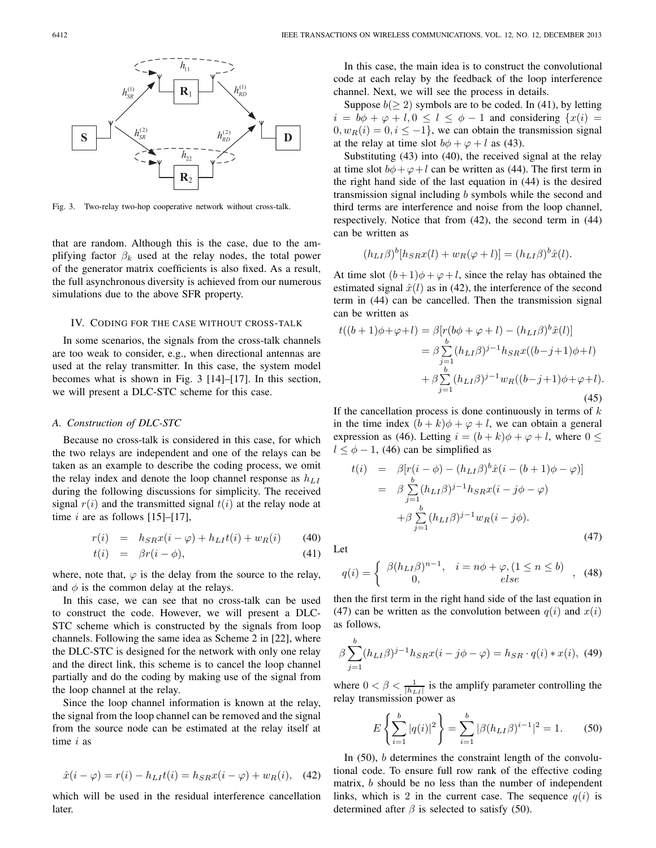

Fig. 3. Two-relay two-hop cooperative network without cross-talk.

that are random. Although this is the case, due to the amplifying factor  $\beta_k$  used at the relay nodes, the total power of the generator matrix coefficients is also fixed. As a result, the full asynchronous diversity is achieved from our numerous simulations due to the above SFR property.

## IV. CODING FOR THE CASE WITHOUT CROSS-TALK

In some scenarios, the signals from the cross-talk channels are too weak to consider, e.g., when directional antennas are used at the relay transmitter. In this case, the system model becomes what is shown in Fig. 3 [14]–[17]. In this section, we will present a DLC-STC scheme for this case.

#### *A. Construction of DLC-STC*

Because no cross-talk is considered in this case, for which the two relays are independent and one of the relays can be taken as an example to describe the coding process, we omit the relay index and denote the loop channel response as  $h_{LI}$ during the following discussions for simplicity. The received signal  $r(i)$  and the transmitted signal  $t(i)$  at the relay node at time  $i$  are as follows [15]–[17],

$$
r(i) = h_{SR}x(i - \varphi) + h_{LI}t(i) + w_R(i) \tag{40}
$$

$$
t(i) = \beta r(i - \phi), \tag{41}
$$

where, note that,  $\varphi$  is the delay from the source to the relay, and  $\phi$  is the common delay at the relays.

In this case, we can see that no cross-talk can be used to construct the code. However, we will present a DLC-STC scheme which is constructed by the signals from loop channels. Following the same idea as Scheme 2 in [22], where the DLC-STC is designed for the network with only one relay and the direct link, this scheme is to cancel the loop channel partially and do the coding by making use of the signal from the loop channel at the relay.

Since the loop channel information is known at the relay, the signal from the loop channel can be removed and the signal from the source node can be estimated at the relay itself at time i as

$$
\hat{x}(i - \varphi) = r(i) - h_{LI}t(i) = h_{SR}x(i - \varphi) + w_R(i), \quad (42)
$$

which will be used in the residual interference cancellation later.

In this case, the main idea is to construct the convolutional code at each relay by the feedback of the loop interference channel. Next, we will see the process in details.

Suppose  $b(\geq 2)$  symbols are to be coded. In (41), by letting  $i = b\phi + \varphi + l, 0 \leq l \leq \phi - 1$  and considering  $\{x(i) =$  $0, w_R(i) = 0, i \leq -1$ , we can obtain the transmission signal at the relay at time slot  $b\phi + \varphi + l$  as (43).

Substituting (43) into (40), the received signal at the relay at time slot  $b\phi + \varphi + l$  can be written as (44). The first term in the right hand side of the last equation in (44) is the desired transmission signal including b symbols while the second and third terms are interference and noise from the loop channel, respectively. Notice that from (42), the second term in (44) can be written as

$$
(h_{LI}\beta)^b[h_{SR}x(l) + w_R(\varphi + l)] = (h_{LI}\beta)^b \hat{x}(l).
$$

At time slot  $(b+1)\phi + \varphi + l$ , since the relay has obtained the estimated signal  $\hat{x}(l)$  as in (42), the interference of the second term in (44) can be cancelled. Then the transmission signal can be written as

$$
t((b+1)\phi + \varphi + l) = \beta[r(b\phi + \varphi + l) - (h_{LI}\beta)^b \hat{x}(l)]
$$
  
=  $\beta \sum_{j=1}^b (h_{LI}\beta)^{j-1} h_{SR}x((b-j+1)\phi + l)$   
+  $\beta \sum_{j=1}^b (h_{LI}\beta)^{j-1} w_R((b-j+1)\phi + \varphi + l).$  (45)

If the cancellation process is done continuously in terms of  $k$ in the time index  $(b + k)\phi + \varphi + l$ , we can obtain a general expression as (46). Letting  $i = (b + k)\phi + \varphi + l$ , where  $0 \leq$  $l \leq \phi - 1$ , (46) can be simplified as

$$
t(i) = \beta[r(i - \phi) - (h_{LI}\beta)^b \hat{x}(i - (b + 1)\phi - \varphi)]
$$
  
\n
$$
= \beta \sum_{j=1}^{b} (h_{LI}\beta)^{j-1} h_{SR}x(i - j\phi - \varphi)
$$
  
\n
$$
+ \beta \sum_{j=1}^{b} (h_{LI}\beta)^{j-1} w_R(i - j\phi).
$$
\n(47)

Let

$$
q(i) = \begin{cases} \beta(h_{LI}\beta)^{n-1}, & i = n\phi + \varphi, (1 \le n \le b) \\ 0, & else \end{cases}
$$
, (48)

then the first term in the right hand side of the last equation in (47) can be written as the convolution between  $q(i)$  and  $x(i)$ as follows,

$$
\beta \sum_{j=1}^{b} (h_{LI}\beta)^{j-1} h_{SR} x(i - j\phi - \varphi) = h_{SR} \cdot q(i) * x(i), \tag{49}
$$

where  $0 < \beta < \frac{1}{|h_{LL}|}$  is the amplify parameter controlling the relay transmission power as relay transmission power as

$$
E\left\{\sum_{i=1}^{b}|q(i)|^{2}\right\} = \sum_{i=1}^{b}|\beta(h_{LI}\beta)^{i-1}|^{2} = 1.
$$
 (50)

In (50), b determines the constraint length of the convolutional code. To ensure full row rank of the effective coding matrix, b should be no less than the number of independent links, which is 2 in the current case. The sequence  $q(i)$  is determined after  $\beta$  is selected to satisfy (50).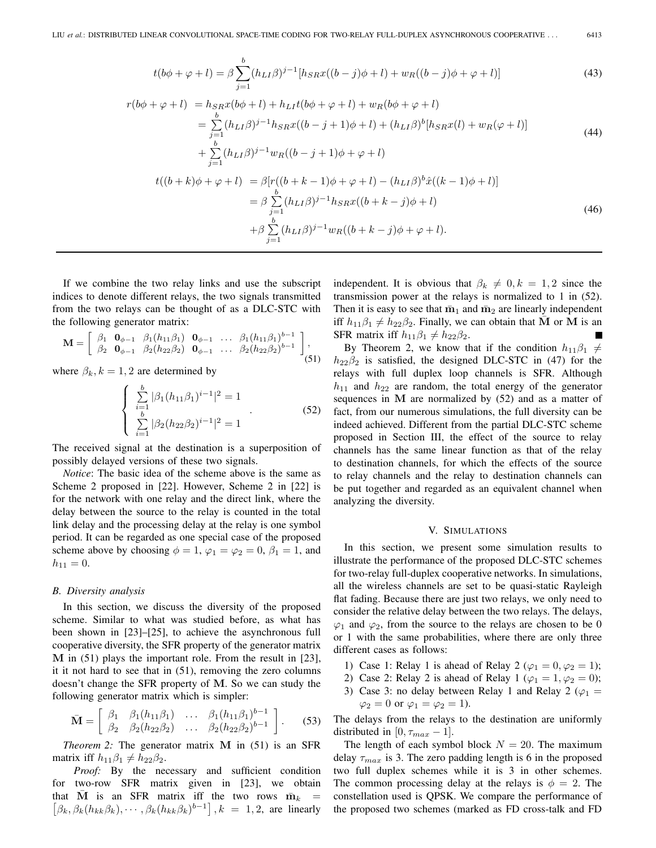$$
t(b\phi + \varphi + l) = \beta \sum_{j=1}^{b} (h_{LI}\beta)^{j-1} [h_{SR}x((b-j)\phi + l) + w_R((b-j)\phi + \varphi + l)]
$$
(43)  

$$
r(b\phi + \varphi + l) = h_{SR}x(b\phi + l) + h_{LI}t(b\phi + \varphi + l) + w_R(b\phi + \varphi + l)
$$
  

$$
= \sum_{j=1}^{b} (h_{LI}\beta)^{j-1} h_{SR}x((b-j+1)\phi + l) + (h_{LI}\beta)^{b}[h_{SR}x(l) + w_R(\varphi + l)]
$$
(44)

$$
+\sum_{j=1}^b (h_{LI}\beta)^{j-1} w_R((b-j+1)\phi+\varphi+l)
$$

$$
t((b+k)\phi + \varphi + l) = \beta[r((b+k-1)\phi + \varphi + l) - (h_{LI}\beta)^b \hat{x}((k-1)\phi + l)]
$$
  
\n
$$
= \beta \sum_{j=1}^{b} (h_{LI}\beta)^{j-1} h_{SR}x((b+k-j)\phi + l)
$$
  
\n
$$
+ \beta \sum_{j=1}^{b} (h_{LI}\beta)^{j-1} w_R((b+k-j)\phi + \varphi + l).
$$
\n(46)

If we combine the two relay links and use the subscript indices to denote different relays, the two signals transmitted from the two relays can be thought of as a DLC-STC with the following generator matrix:

$$
\mathbf{M} = \begin{bmatrix} \beta_1 & \mathbf{0}_{\phi-1} & \beta_1(h_{11}\beta_1) & \mathbf{0}_{\phi-1} & \dots & \beta_1(h_{11}\beta_1)^{b-1} \\ \beta_2 & \mathbf{0}_{\phi-1} & \beta_2(h_{22}\beta_2) & \mathbf{0}_{\phi-1} & \dots & \beta_2(h_{22}\beta_2)^{b-1} \end{bmatrix},
$$
\n(51)

where  $\beta_k, k = 1, 2$  are determined by

$$
\begin{cases}\n\sum_{i=1}^{b} |\beta_1 (h_{11}\beta_1)^{i-1}|^2 = 1\\ \n\sum_{i=1}^{b} |\beta_2 (h_{22}\beta_2)^{i-1}|^2 = 1\n\end{cases}.
$$
\n(52)

The received signal at the destination is a superposition of possibly delayed versions of these two signals.

*Notice*: The basic idea of the scheme above is the same as Scheme 2 proposed in [22]. However, Scheme 2 in [22] is for the network with one relay and the direct link, where the delay between the source to the relay is counted in the total link delay and the processing delay at the relay is one symbol period. It can be regarded as one special case of the proposed scheme above by choosing  $\phi = 1$ ,  $\varphi_1 = \varphi_2 = 0$ ,  $\beta_1 = 1$ , and  $h_{11} = 0.$ 

#### *B. Diversity analysis*

In this section, we discuss the diversity of the proposed scheme. Similar to what was studied before, as what has been shown in [23]–[25], to achieve the asynchronous full cooperative diversity, the SFR property of the generator matrix **M** in (51) plays the important role. From the result in [23], it it not hard to see that in (51), removing the zero columns doesn't change the SFR property of **M**. So we can study the following generator matrix which is simpler:

$$
\bar{\mathbf{M}} = \left[ \begin{array}{cccc} \beta_1 & \beta_1(h_{11}\beta_1) & \dots & \beta_1(h_{11}\beta_1)^{b-1} \\ \beta_2 & \beta_2(h_{22}\beta_2) & \dots & \beta_2(h_{22}\beta_2)^{b-1} \end{array} \right].
$$
 (53)

*Theorem 2:* The generator matrix **M** in (51) is an SFR matrix iff  $h_{11}\beta_1 \neq h_{22}\beta_2$ .

*Proof:* By the necessary and sufficient condition for two-row SFR matrix given in [23], we obtain that  $\overline{M}$  is an SFR matrix iff the two rows  $\overline{m}_k$  =  $\left[\beta_k, \beta_k(h_{kk}\beta_k), \cdots, \beta_k(h_{kk}\beta_k)^{b-1}\right], k = 1, 2$ , are linearly

independent. It is obvious that  $\beta_k \neq 0, k = 1, 2$  since the transmission power at the relays is normalized to 1 in (52). Then it is easy to see that  $\bar{m}_1$  and  $\bar{m}_2$  are linearly independent iff  $h_{11}\beta_1 \neq h_{22}\beta_2$ . Finally, we can obtain that **M** or **M** is an SFR matrix iff  $h_{11}\beta_1 \neq h_{22}\beta_2$ .

By Theorem 2, we know that if the condition  $h_{11}\beta_1 \neq$  $h_{22}\beta_2$  is satisfied, the designed DLC-STC in (47) for the relays with full duplex loop channels is SFR. Although  $h_{11}$  and  $h_{22}$  are random, the total energy of the generator sequences in **M** are normalized by (52) and as a matter of fact, from our numerous simulations, the full diversity can be indeed achieved. Different from the partial DLC-STC scheme proposed in Section III, the effect of the source to relay channels has the same linear function as that of the relay to destination channels, for which the effects of the source to relay channels and the relay to destination channels can be put together and regarded as an equivalent channel when analyzing the diversity.

## V. SIMULATIONS

In this section, we present some simulation results to illustrate the performance of the proposed DLC-STC schemes for two-relay full-duplex cooperative networks. In simulations, all the wireless channels are set to be quasi-static Rayleigh flat fading. Because there are just two relays, we only need to consider the relative delay between the two relays. The delays,  $\varphi_1$  and  $\varphi_2$ , from the source to the relays are chosen to be 0 or 1 with the same probabilities, where there are only three different cases as follows:

- 1) Case 1: Relay 1 is ahead of Relay 2 ( $\varphi_1 = 0, \varphi_2 = 1$ );
- 2) Case 2: Relay 2 is ahead of Relay 1 ( $\varphi_1 = 1, \varphi_2 = 0$ );
- 3) Case 3: no delay between Relay 1 and Relay 2 ( $\varphi_1$  =  $\varphi_2 = 0$  or  $\varphi_1 = \varphi_2 = 1$ ).

The delays from the relays to the destination are uniformly distributed in [0,  $\tau_{max}$  – 1].

The length of each symbol block  $N = 20$ . The maximum delay  $\tau_{max}$  is 3. The zero padding length is 6 in the proposed two full duplex schemes while it is 3 in other schemes. The common processing delay at the relays is  $\phi = 2$ . The constellation used is QPSK. We compare the performance of the proposed two schemes (marked as FD cross-talk and FD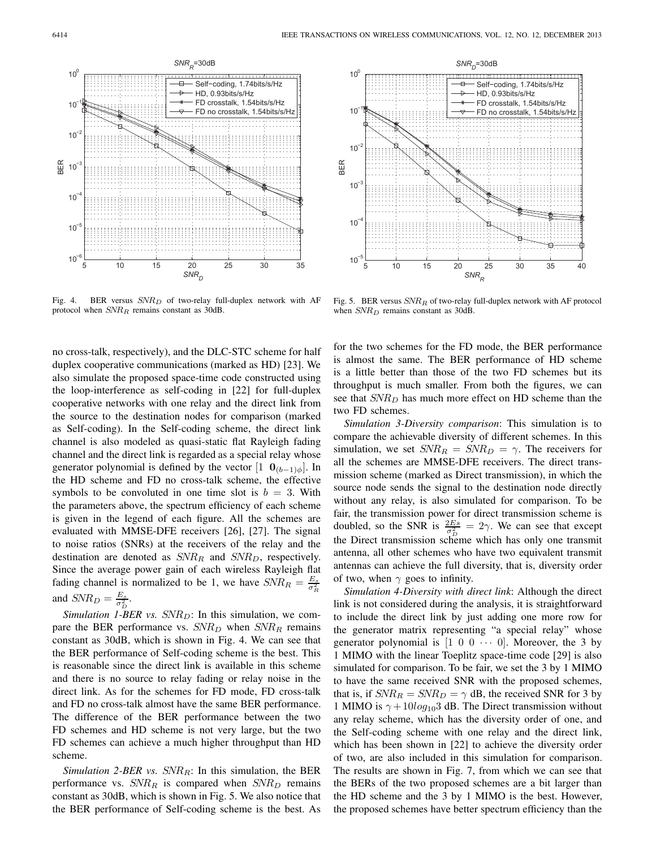



Fig. 4. BER versus  $SNR_D$  of two-relay full-duplex network with AF protocol when  $SNR_R$  remains constant as 30dB.

no cross-talk, respectively), and the DLC-STC scheme for half duplex cooperative communications (marked as HD) [23]. We also simulate the proposed space-time code constructed using the loop-interference as self-coding in [22] for full-duplex cooperative networks with one relay and the direct link from the source to the destination nodes for comparison (marked as Self-coding). In the Self-coding scheme, the direct link channel is also modeled as quasi-static flat Rayleigh fading channel and the direct link is regarded as a special relay whose generator polynomial is defined by the vector  $\begin{bmatrix} 1 & \mathbf{0}_{(b-1)\phi} \end{bmatrix}$ . In the HD scheme and FD no cross-talk scheme, the effective symbols to be convoluted in one time slot is  $b = 3$ . With the parameters above, the spectrum efficiency of each scheme is given in the legend of each figure. All the schemes are evaluated with MMSE-DFE receivers [26], [27]. The signal to noise ratios (SNRs) at the receivers of the relay and the destination are denoted as  $SNR_R$  and  $SNR_D$ , respectively. Since the average power gain of each wireless Rayleigh flat fading channel is normalized to be 1, we have  $SNR_R = \frac{E_g}{\sigma_R^2}$ and  $SNR_D = \frac{E_s}{\sigma_D^2}$ .

*Simulation 1-BER vs.*  $SNR_D$ : In this simulation, we com-<br>re the BER performance vs.  $SNR_D$  when  $SNR_D$  remains pare the BER performance vs.  $SNR_D$  when  $SNR_R$  remains constant as 30dB, which is shown in Fig. 4. We can see that the BER performance of Self-coding scheme is the best. This is reasonable since the direct link is available in this scheme and there is no source to relay fading or relay noise in the direct link. As for the schemes for FD mode, FD cross-talk and FD no cross-talk almost have the same BER performance. The difference of the BER performance between the two FD schemes and HD scheme is not very large, but the two FD schemes can achieve a much higher throughput than HD scheme.

*Simulation 2-BER vs.*  $SNR_R$ : In this simulation, the BER performance vs.  $SNR_R$  is compared when  $SNR_D$  remains constant as 30dB, which is shown in Fig. 5. We also notice that the BER performance of Self-coding scheme is the best. As

Fig. 5. BER versus  $SNR_R$  of two-relay full-duplex network with AF protocol when  $SNR_D$  remains constant as 30dB.

for the two schemes for the FD mode, the BER performance is almost the same. The BER performance of HD scheme is a little better than those of the two FD schemes but its throughput is much smaller. From both the figures, we can see that  $SNR<sub>D</sub>$  has much more effect on HD scheme than the two FD schemes.

*Simulation 3-Diversity comparison*: This simulation is to compare the achievable diversity of different schemes. In this simulation, we set  $SNR_R = SNR_D = \gamma$ . The receivers for all the schemes are MMSE-DFE receivers. The direct transmission scheme (marked as Direct transmission), in which the source node sends the signal to the destination node directly without any relay, is also simulated for comparison. To be fair, the transmission power for direct transmission scheme is doubled, so the SNR is  $\frac{2Es}{\sigma_p^2} = 2\gamma$ . We can see that except<br>the Direct transmission solution which has only one transmit the Direct transmission scheme which has only one transmit antenna, all other schemes who have two equivalent transmit antennas can achieve the full diversity, that is, diversity order of two, when  $\gamma$  goes to infinity.

*Simulation 4-Diversity with direct link*: Although the direct link is not considered during the analysis, it is straightforward to include the direct link by just adding one more row for the generator matrix representing "a special relay" whose generator polynomial is  $[1 \ 0 \ 0 \ \cdots \ 0]$ . Moreover, the 3 by 1 MIMO with the linear Toeplitz space-time code [29] is also simulated for comparison. To be fair, we set the 3 by 1 MIMO to have the same received SNR with the proposed schemes, that is, if  $SNR_R = SNR_D = \gamma$  dB, the received SNR for 3 by 1 MIMO is  $\gamma$  + 10log<sub>10</sub>3 dB. The Direct transmission without any relay scheme, which has the diversity order of one, and the Self-coding scheme with one relay and the direct link, which has been shown in [22] to achieve the diversity order of two, are also included in this simulation for comparison. The results are shown in Fig. 7, from which we can see that the BERs of the two proposed schemes are a bit larger than the HD scheme and the 3 by 1 MIMO is the best. However, the proposed schemes have better spectrum efficiency than the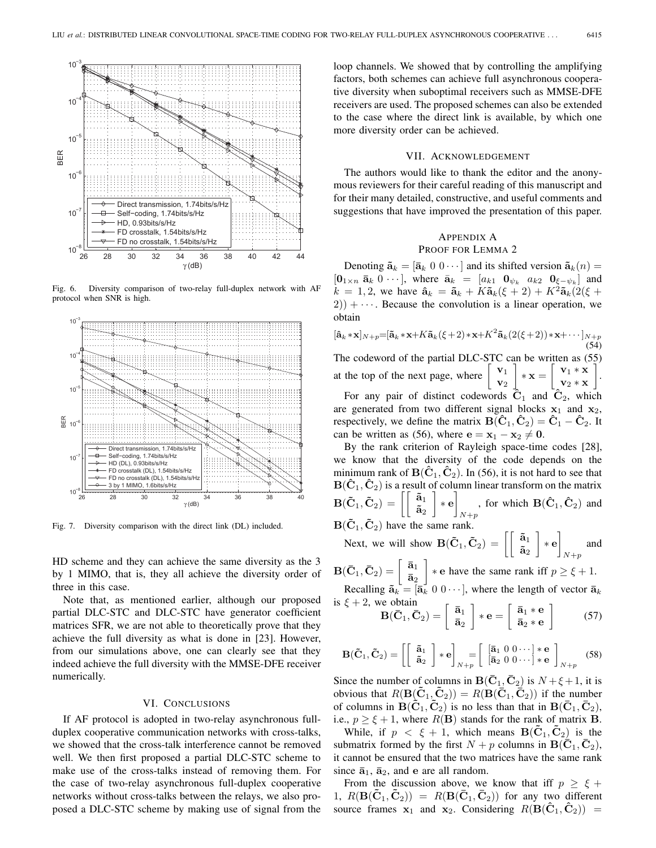

Fig. 6. Diversity comparison of two-relay full-duplex network with AF protocol when SNR is high.



Fig. 7. Diversity comparison with the direct link (DL) included.

HD scheme and they can achieve the same diversity as the 3 by 1 MIMO, that is, they all achieve the diversity order of three in this case.

Note that, as mentioned earlier, although our proposed partial DLC-STC and DLC-STC have generator coefficient matrices SFR, we are not able to theoretically prove that they achieve the full diversity as what is done in [23]. However, from our simulations above, one can clearly see that they indeed achieve the full diversity with the MMSE-DFE receiver numerically.

#### VI. CONCLUSIONS

If AF protocol is adopted in two-relay asynchronous fullduplex cooperative communication networks with cross-talks, we showed that the cross-talk interference cannot be removed well. We then first proposed a partial DLC-STC scheme to make use of the cross-talks instead of removing them. For the case of two-relay asynchronous full-duplex cooperative networks without cross-talks between the relays, we also proposed a DLC-STC scheme by making use of signal from the

loop channels. We showed that by controlling the amplifying factors, both schemes can achieve full asynchronous cooperative diversity when suboptimal receivers such as MMSE-DFE receivers are used. The proposed schemes can also be extended to the case where the direct link is available, by which one more diversity order can be achieved.

## VII. ACKNOWLEDGEMENT

The authors would like to thank the editor and the anonymous reviewers for their careful reading of this manuscript and for their many detailed, constructive, and useful comments and suggestions that have improved the presentation of this paper.

# APPENDIX A

PROOF FOR LEMMA 2

Denoting  $\tilde{\mathbf{a}}_k = [\bar{\mathbf{a}}_k \ 0 \ 0 \cdots]$  and its shifted version  $\tilde{\mathbf{a}}_k(n) =$  $\left[\mathbf{0}_{1\times n} \ \mathbf{\bar{a}}_k \ 0 \ \cdots \right]$ , where  $\mathbf{\bar{a}}_k = \left[a_{k1} \ \mathbf{0}_{\psi_k} \ a_{k2} \ \mathbf{0}_{\xi-\psi_k}\right]$  and  $k = 1, 2$ , we have  $\hat{a}_k = \tilde{a}_k + K \tilde{a}_k(\xi + 2) + K^2 \tilde{a}_k(2(\xi +$  $2$ )) +  $\cdots$ . Because the convolution is a linear operation, we obtain

$$
[\hat{\mathbf{a}}_k * \mathbf{x}]_{N+p} = [\tilde{\mathbf{a}}_k * \mathbf{x} + K\tilde{\mathbf{a}}_k(\xi + 2) * \mathbf{x} + K^2\tilde{\mathbf{a}}_k(2(\xi + 2)) * \mathbf{x} + \cdots]_{N+p}
$$
\n(54)  
\nThe codeword of the partial DLC-STC can be written as (55)  
\nat the top of the next page, where  $\begin{bmatrix} \mathbf{v}_1 \\ \mathbf{v}_2 \end{bmatrix} * \mathbf{x} = \begin{bmatrix} \mathbf{v}_1 * \mathbf{x} \\ \mathbf{v}_2 * \mathbf{x} \end{bmatrix}$ .  
\nFor any pair of distinct codewords  $\hat{\mathbf{C}}_1$  and  $\hat{\mathbf{C}}_2$ , which  
\nare generated from two different signal blocks  $\mathbf{x}_1$  and  $\mathbf{x}_2$ ,  
\nrespectively, we define the matrix  $\mathbf{B}(\hat{\mathbf{C}}_1, \hat{\mathbf{C}}_2) = \hat{\mathbf{C}}_1 - \hat{\mathbf{C}}_2$ . It  
\ncan be written as (56), where  $\mathbf{e} = \mathbf{x}_1 - \mathbf{x}_2 \neq \mathbf{0}$ .

By the rank criterion of Rayleigh space-time codes [28], we know that the diversity of the code depends on the minimum rank of  $\mathbf{B}(\hat{\mathbf{C}}_1, \hat{\mathbf{C}}_2)$ . In (56), it is not hard to see that **<sup>B</sup>**(**Cˆ**<sup>1</sup>, **Cˆ**2) is a result of column linear transform on the matrix  $\mathbf{B}(\mathbf{\tilde{C}}_1, \mathbf{\tilde{C}}_2) = \left[\left[\begin{array}{c} \mathbf{\tilde{a}}_1\ \mathbf{\tilde{a}}_2 \end{array}\right. \right.$  $\tilde{\mathbf{a}}_2$  $\big] * \mathbf{e}$ , for which **B**( $\hat{\mathbf{C}}_1$ ,  $\hat{\mathbf{C}}_2$ ) and  $B(\tilde{C}_1, \tilde{C}_2)$  have the same rank.

Next, we will show  $\mathbf{B}(\tilde{\mathbf{C}}_1, \tilde{\mathbf{C}}_2) = \begin{bmatrix} \begin{bmatrix} \tilde{\mathbf{a}}_1 \\ \tilde{\mathbf{a}}_2 \end{bmatrix} \end{bmatrix}$  $\tilde{\mathbf{a}}_2$  ∗ **e**  $N+p$ and

 $\mathbf{B}(\bar{\mathbf{C}}_1, \bar{\mathbf{C}}_2) = \left[\begin{array}{c} \bar{\mathbf{a}}_1\ \bar{\mathbf{a}}_2 \end{array}\right]$  $\bar{a}_2$  $\left\} * \text{e} \text{ have the same rank iff } p \geq \xi + 1.$ 

Recalling 
$$
\tilde{\mathbf{a}}_k = [\bar{\mathbf{a}}_k \ 0 \ 0 \cdots],
$$
 where the length of vector  $\bar{\mathbf{a}}_k$   
is  $\xi + 2$ , we obtain

$$
\mathbf{B}(\bar{\mathbf{C}}_1, \bar{\mathbf{C}}_2) = \left[\begin{array}{c} \bar{\mathbf{a}}_1 \\ \bar{\mathbf{a}}_2 \end{array}\right] * \mathbf{e} = \left[\begin{array}{c} \bar{\mathbf{a}}_1 * \mathbf{e} \\ \bar{\mathbf{a}}_2 * \mathbf{e} \end{array}\right] \tag{57}
$$

$$
\mathbf{B}(\tilde{\mathbf{C}}_1, \tilde{\mathbf{C}}_2) = \left[ \left[ \begin{array}{c} \tilde{\mathbf{a}}_1 \\ \tilde{\mathbf{a}}_2 \end{array} \right] * \mathbf{e} \right]_{N+p} = \left[ \begin{array}{c} \left[ \bar{\mathbf{a}}_1 & 0 & 0 \cdots \right] * \mathbf{e} \\ \left[ \bar{\mathbf{a}}_2 & 0 & 0 \cdots \right] * \mathbf{e} \end{array} \right]_{N+p} \tag{58}
$$

Since the number of columns in  $B(\bar{C}_1, \bar{C}_2)$  is  $N + \xi + 1$ , it is obvious that  $R(\mathbf{B}(\mathbf{C}_1, \mathbf{C}_2)) = R(\mathbf{B}(\mathbf{C}_1, \mathbf{C}_2))$  if the number of columns in  $\mathbf{B}(\tilde{\mathbf{C}}_1, \tilde{\mathbf{C}}_2)$  is no less than that in  $\mathbf{B}(\bar{\mathbf{C}}_1, \bar{\mathbf{C}}_2)$ , i.e.,  $p \ge \xi + 1$ , where  $R(\mathbf{B})$  stands for the rank of matrix **B**.

While, if  $p < \xi + 1$ , which means **B**( $\hat{\mathbf{C}}_1, \hat{\mathbf{C}}_2$ ) is the submatrix formed by the first  $N + p$  columns in  $B(\bar{C}_1, \bar{C}_2)$ , it cannot be ensured that the two matrices have the same rank since  $\bar{a}_1$ ,  $\bar{a}_2$ , and **e** are all random.

From the discussion above, we know that iff  $p \ge \xi +$ 1,  $R(\mathbf{B}(\mathbf{C}_1, \mathbf{C}_2)) = R(\mathbf{B}(\mathbf{C}_1, \mathbf{C}_2))$  for any two different source frames  $x_1$  and  $x_2$ . Considering  $R(\mathbf{B}(\mathbf{C}_1, \mathbf{C}_2)) =$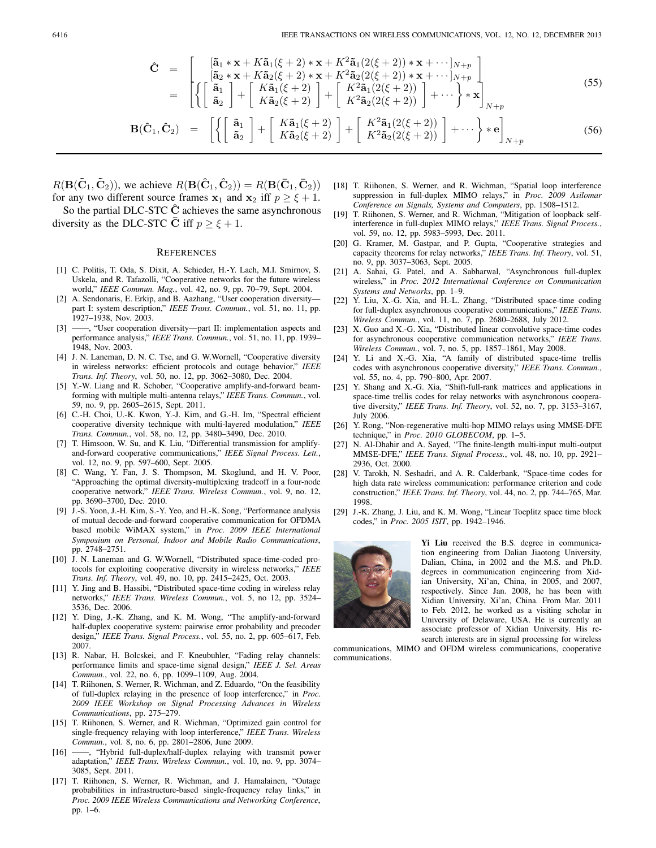$$
\hat{\mathbf{C}} = \begin{bmatrix} [\tilde{\mathbf{a}}_1 * \mathbf{x} + K \tilde{\mathbf{a}}_1(\xi + 2) * \mathbf{x} + K^2 \tilde{\mathbf{a}}_1(2(\xi + 2)) * \mathbf{x} + \cdots]_{N+p} \\ [\tilde{\mathbf{a}}_2 * \mathbf{x} + K \tilde{\mathbf{a}}_2(\xi + 2) * \mathbf{x} + K^2 \tilde{\mathbf{a}}_2(2(\xi + 2)) * \mathbf{x} + \cdots]_{N+p} \\ [1mm] - \left[ \begin{Bmatrix} \tilde{\mathbf{a}}_1 \\ \tilde{\mathbf{a}}_2 \end{Bmatrix} + \begin{bmatrix} K \tilde{\mathbf{a}}_1(\xi + 2) \\ K \tilde{\mathbf{a}}_2(\xi + 2) \end{bmatrix} + \begin{bmatrix} K^2 \tilde{\mathbf{a}}_1(2(\xi + 2)) \\ K^2 \tilde{\mathbf{a}}_2(2(\xi + 2)) \end{bmatrix} + \cdots \right\} * \mathbf{x} \Big]_{N+p}
$$
\n(55)

$$
\mathbf{B}(\hat{\mathbf{C}}_1, \hat{\mathbf{C}}_2) = \left[ \left\{ \left[ \begin{array}{c} \tilde{\mathbf{a}}_1 \\ \tilde{\mathbf{a}}_2 \end{array} \right] + \left[ \begin{array}{c} K\tilde{\mathbf{a}}_1(\xi+2) \\ K\tilde{\mathbf{a}}_2(\xi+2) \end{array} \right] + \left[ \begin{array}{c} K^2\tilde{\mathbf{a}}_1(2(\xi+2)) \\ K^2\tilde{\mathbf{a}}_2(2(\xi+2)) \end{array} \right] + \cdots \right\} * \mathbf{e} \right]_{N+p}
$$
(56)

 $R(\mathbf{B}(\tilde{\mathbf{C}}_1, \tilde{\mathbf{C}}_2))$ , we achieve  $R(\mathbf{B}(\hat{\mathbf{C}}_1, \hat{\mathbf{C}}_2)) = R(\mathbf{B}(\bar{\mathbf{C}}_1, \bar{\mathbf{C}}_2))$ for any two different source frames  $x_1$  and  $x_2$  iff  $p \ge \xi + 1$ .

So the partial DLC-STC **Cˆ** achieves the same asynchronous diversity as the DLC-STC  $\bar{C}$  iff  $p \geq \xi + 1$ .

#### **REFERENCES**

- [1] C. Politis, T. Oda, S. Dixit, A. Schieder, H.-Y. Lach, M.I. Smirnov, S. Uskela, and R. Tafazolli, "Cooperative networks for the future wireless world," *IEEE Commun. Mag.*, vol. 42, no. 9, pp. 70–79, Sept. 2004.
- [2] A. Sendonaris, E. Erkip, and B. Aazhang, "User cooperation diversity part I: system description," *IEEE Trans. Commun.*, vol. 51, no. 11, pp. 1927–1938, Nov. 2003.
- [3] ——, "User cooperation diversity—part II: implementation aspects and performance analysis," *IEEE Trans. Commun.*, vol. 51, no. 11, pp. 1939– 1948, Nov. 2003.
- [4] J. N. Laneman, D. N. C. Tse, and G. W. Wornell, "Cooperative diversity in wireless networks: efficient protocols and outage behavior," *IEEE Trans. Inf. Theory*, vol. 50, no. 12, pp. 3062–3080, Dec. 2004.
- [5] Y.-W. Liang and R. Schober, "Cooperative amplify-and-forward beamforming with multiple multi-antenna relays," *IEEE Trans. Commun.*, vol. 59, no. 9, pp. 2605–2615, Sept. 2011.
- [6] C.-H. Choi, U.-K. Kwon, Y.-J. Kim, and G.-H. Im, "Spectral efficient cooperative diversity technique with multi-layered modulation," *IEEE Trans. Commun.*, vol. 58, no. 12, pp. 3480–3490, Dec. 2010.
- [7] T. Himsoon, W. Su, and K. Liu, "Differential transmission for amplifyand-forward cooperative communications," *IEEE Signal Process. Lett.*, vol. 12, no. 9, pp. 597–600, Sept. 2005.
- [8] C. Wang, Y. Fan, J. S. Thompson, M. Skoglund, and H. V. Poor, "Approaching the optimal diversity-multiplexing tradeoff in a four-node cooperative network," *IEEE Trans. Wireless Commun.*, vol. 9, no. 12, pp. 3690–3700, Dec. 2010.
- [9] J.-S. Yoon, J.-H. Kim, S.-Y. Yeo, and H.-K. Song, "Performance analysis of mutual decode-and-forward cooperative communication for OFDMA based mobile WiMAX system," in *Proc. 2009 IEEE International Symposium on Personal, Indoor and Mobile Radio Communications*, pp. 2748–2751.
- [10] J. N. Laneman and G. W.Wornell, "Distributed space-time-coded protocols for exploiting cooperative diversity in wireless networks," *IEEE Trans. Inf. Theory*, vol. 49, no. 10, pp. 2415–2425, Oct. 2003.
- [11] Y. Jing and B. Hassibi, "Distributed space-time coding in wireless relay networks," *IEEE Trans. Wireless Commun.*, vol. 5, no 12, pp. 3524– 3536, Dec. 2006.
- [12] Y. Ding, J.-K. Zhang, and K. M. Wong, "The amplify-and-forward half-duplex cooperative system: pairwise error probability and precoder design," *IEEE Trans. Signal Process.*, vol. 55, no. 2, pp. 605–617, Feb. 2007.
- [13] R. Nabar, H. Bolcskei, and F. Kneubuhler, "Fading relay channels: performance limits and space-time signal design," *IEEE J. Sel. Areas Commun.*, vol. 22, no. 6, pp. 1099–1109, Aug. 2004.
- [14] T. Riihonen, S. Werner, R. Wichman, and Z. Eduardo, "On the feasibility of full-duplex relaying in the presence of loop interference," in *Proc. 2009 IEEE Workshop on Signal Processing Advances in Wireless Communications*, pp. 275–279.
- [15] T. Riihonen, S. Werner, and R. Wichman, "Optimized gain control for single-frequency relaying with loop interference," *IEEE Trans. Wireless Commun.*, vol. 8, no. 6, pp. 2801–2806, June 2009.
- [16] ——, "Hybrid full-duplex/half-duplex relaying with transmit power adaptation," *IEEE Trans. Wireless Commun.*, vol. 10, no. 9, pp. 3074– 3085, Sept. 2011.
- [17] T. Riihonen, S. Werner, R. Wichman, and J. Hamalainen, "Outage probabilities in infrastructure-based single-frequency relay links," in *Proc. 2009 IEEE Wireless Communications and Networking Conference*, pp. 1–6.
- [18] T. Riihonen, S. Werner, and R. Wichman, "Spatial loop interference suppression in full-duplex MIMO relays," in *Proc. 2009 Asilomar Conference on Signals, Systems and Computers*, pp. 1508–1512.
- [19] T. Riihonen, S. Werner, and R. Wichman, "Mitigation of loopback selfinterference in full-duplex MIMO relays," *IEEE Trans. Signal Process.*, vol. 59, no. 12, pp. 5983–5993, Dec. 2011.
- [20] G. Kramer, M. Gastpar, and P. Gupta, "Cooperative strategies and capacity theorems for relay networks," *IEEE Trans. Inf. Theory*, vol. 51, no. 9, pp. 3037–3063, Sept. 2005.
- [21] A. Sahai, G. Patel, and A. Sabharwal, "Asynchronous full-duplex wireless," in *Proc. 2012 International Conference on Communication Systems and Networks*, pp. 1–9.
- [22] Y. Liu, X.-G. Xia, and H.-L. Zhang, "Distributed space-time coding for full-duplex asynchronous cooperative communications," *IEEE Trans. Wireless Commun.*, vol. 11, no. 7, pp. 2680–2688, July 2012.
- [23] X. Guo and X.-G. Xia, "Distributed linear convolutive space-time codes for asynchronous cooperative communication networks," *IEEE Trans. Wireless Commun.*, vol. 7, no. 5, pp. 1857–1861, May 2008.
- [24] Y. Li and X.-G. Xia, "A family of distributed space-time trellis codes with asynchronous cooperative diversity," *IEEE Trans. Commun.*, vol. 55, no. 4, pp. 790–800, Apr. 2007.
- [25] Y. Shang and X.-G. Xia, "Shift-full-rank matrices and applications in space-time trellis codes for relay networks with asynchronous cooperative diversity," *IEEE Trans. Inf. Theory*, vol. 52, no. 7, pp. 3153–3167, July 2006.
- [26] Y. Rong, "Non-regenerative multi-hop MIMO relays using MMSE-DFE technique," in *Proc. 2010 GLOBECOM*, pp. 1–5.
- [27] N. Al-Dhahir and A. Sayed, "The finite-length multi-input multi-output MMSE-DFE," *IEEE Trans. Signal Process.*, vol. 48, no. 10, pp. 2921– 2936, Oct. 2000.
- [28] V. Tarokh, N. Seshadri, and A. R. Calderbank, "Space-time codes for high data rate wireless communication: performance criterion and code construction," *IEEE Trans. Inf. Theory*, vol. 44, no. 2, pp. 744–765, Mar. 1998.
- [29] J.-K. Zhang, J. Liu, and K. M. Wong, "Linear Toeplitz space time block codes," in *Proc. 2005 ISIT*, pp. 1942–1946.



**Yi Liu** received the B.S. degree in communication engineering from Dalian Jiaotong University, Dalian, China, in 2002 and the M.S. and Ph.D. degrees in communication engineering from Xidian University, Xi'an, China, in 2005, and 2007, respectively. Since Jan. 2008, he has been with Xidian University, Xi'an, China. From Mar. 2011 to Feb. 2012, he worked as a visiting scholar in University of Delaware, USA. He is currently an associate professor of Xidian University. His research interests are in signal processing for wireless

communications, MIMO and OFDM wireless communications, cooperative communications.